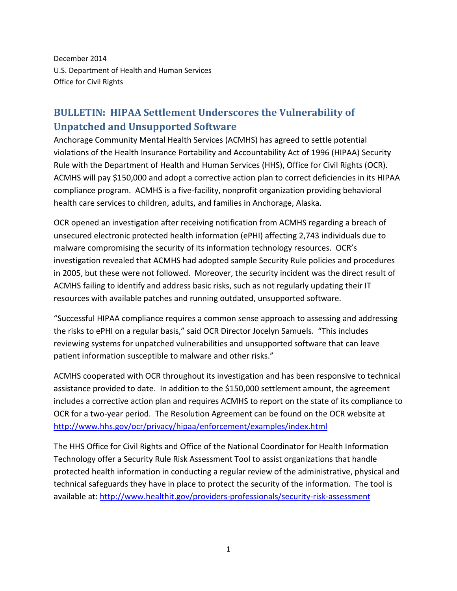December 2014 U.S. Department of Health and Human Services Office for Civil Rights

## **BULLETIN: HIPAA Settlement Underscores the Vulnerability of Unpatched and Unsupported Software**

Anchorage Community Mental Health Services (ACMHS) has agreed to settle potential violations of the Health Insurance Portability and Accountability Act of 1996 (HIPAA) Security Rule with the Department of Health and Human Services (HHS), Office for Civil Rights (OCR). ACMHS will pay \$150,000 and adopt a corrective action plan to correct deficiencies in its HIPAA compliance program. ACMHS is a five-facility, nonprofit organization providing behavioral health care services to children, adults, and families in Anchorage, Alaska.

OCR opened an investigation after receiving notification from ACMHS regarding a breach of unsecured electronic protected health information (ePHI) affecting 2,743 individuals due to malware compromising the security of its information technology resources. OCR's investigation revealed that ACMHS had adopted sample Security Rule policies and procedures in 2005, but these were not followed. Moreover, the security incident was the direct result of ACMHS failing to identify and address basic risks, such as not regularly updating their IT resources with available patches and running outdated, unsupported software.

"Successful HIPAA compliance requires a common sense approach to assessing and addressing the risks to ePHI on a regular basis," said OCR Director Jocelyn Samuels. "This includes reviewing systems for unpatched vulnerabilities and unsupported software that can leave patient information susceptible to malware and other risks."

ACMHS cooperated with OCR throughout its investigation and has been responsive to technical assistance provided to date. In addition to the \$150,000 settlement amount, the agreement includes a corrective action plan and requires ACMHS to report on the state of its compliance to OCR for a two-year period. The Resolution Agreement can be found on the OCR website at <http://www.hhs.gov/ocr/privacy/hipaa/enforcement/examples/index.html>

The HHS Office for Civil Rights and Office of the National Coordinator for Health Information Technology offer a Security Rule Risk Assessment Tool to assist organizations that handle protected health information in conducting a regular review of the administrative, physical and technical safeguards they have in place to protect the security of the information. The tool is available at[: http://www.healthit.gov/providers-professionals/security-risk-assessment](http://www.healthit.gov/providers-professionals/security-risk-assessment)